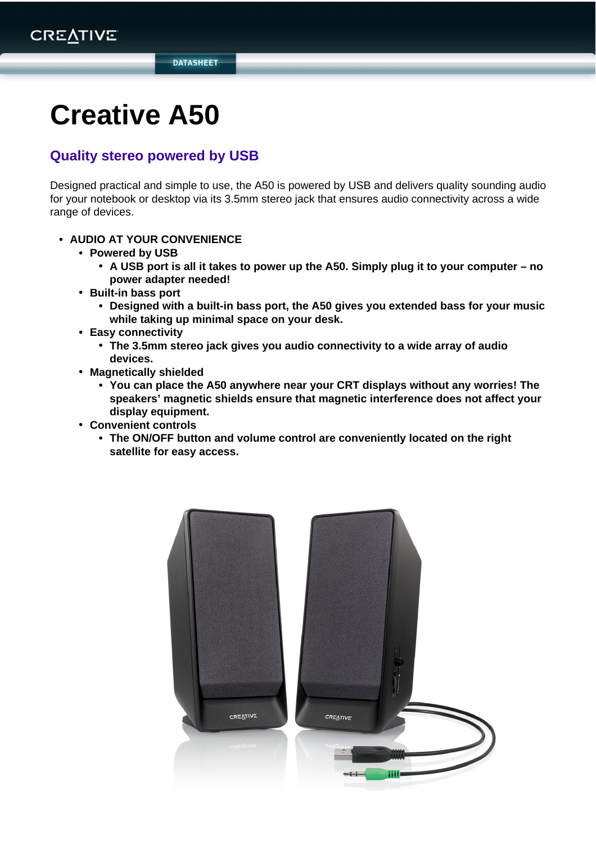**DATASHEET** 

# **Creative A50**

## **Quality stereo powered by USB**

Designed practical and simple to use, the A50 is powered by USB and delivers quality sounding audio for your notebook or desktop via its 3.5mm stereo jack that ensures audio connectivity across a wide range of devices.

- **• AUDIO AT YOUR CONVENIENCE**
	- **• Powered by USB**
		- **• A USB port is all it takes to power up the A50. Simply plug it to your computer no power adapter needed!**
	- **• Built-in bass port**
		- **• Designed with a built-in bass port, the A50 gives you extended bass for your music while taking up minimal space on your desk.**
	- **• Easy connectivity**
		- **• The 3.5mm stereo jack gives you audio connectivity to a wide array of audio devices.**
	- **• Magnetically shielded**
		- **• You can place the A50 anywhere near your CRT displays without any worries! The speakers' magnetic shields ensure that magnetic interference does not affect your display equipment.**
	- **• Convenient controls**
		- **• The ON/OFF button and volume control are conveniently located on the right satellite for easy access.**